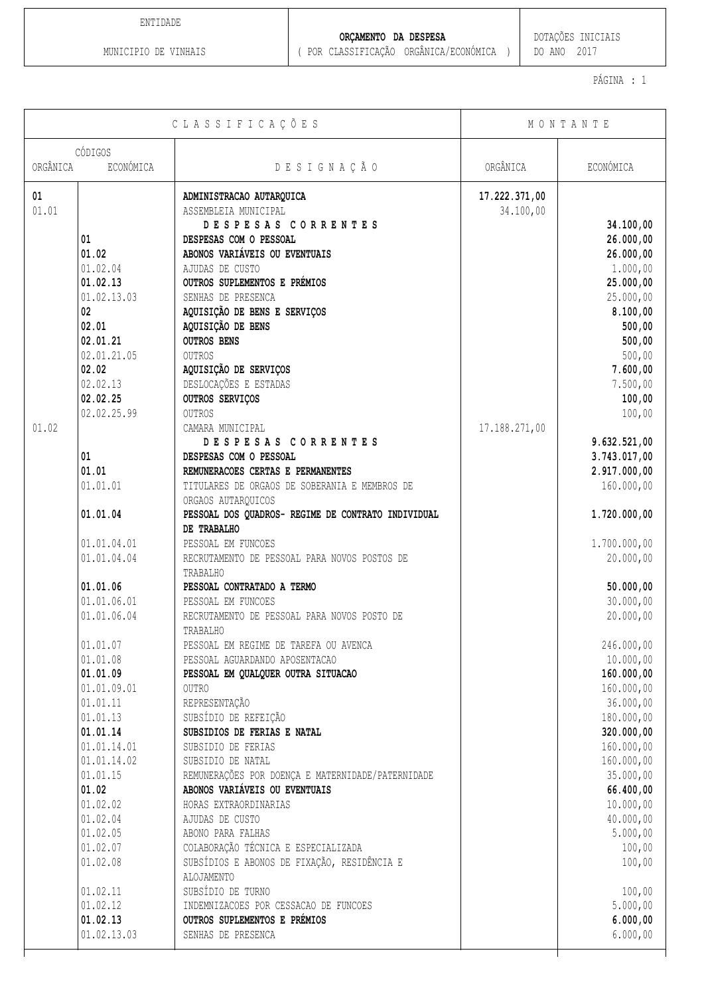ENTIDADE

**ORÇAMENTO DA DESPESA**  $\qquad$  DOTAÇÕES INICIAIS

PÁGINA : 1

| CLASSIFICAÇÕES |                   | MONTANTE                                           |               |                  |
|----------------|-------------------|----------------------------------------------------|---------------|------------------|
|                | CÓDIGOS           |                                                    |               |                  |
| ORGÂNICA       | ECONÓMICA         | DESIGNAÇÃO                                         | ORGÂNICA      | ECONÓMICA        |
| 01             |                   | ADMINISTRACAO AUTARQUICA                           | 17.222.371,00 |                  |
| 01.01          |                   | ASSEMBLEIA MUNICIPAL                               | 34.100,00     |                  |
|                |                   | DESPESAS CORRENTES                                 |               | 34.100,00        |
|                | 01                | DESPESAS COM O PESSOAL                             |               | 26.000,00        |
|                | 01.02             | ABONOS VARIÁVEIS OU EVENTUAIS                      |               | 26.000,00        |
|                | 01.02.04          | AJUDAS DE CUSTO                                    |               | 1.000,00         |
|                | 01.02.13          | OUTROS SUPLEMENTOS E PRÉMIOS                       |               | 25.000,00        |
|                | 01.02.13.03       | SENHAS DE PRESENCA                                 |               | 25.000,00        |
|                | 02 <sub>2</sub>   | AQUISIÇÃO DE BENS E SERVIÇOS                       |               | 8.100,00         |
|                | 02.01<br>02.01.21 | AQUISIÇÃO DE BENS<br><b>OUTROS BENS</b>            |               | 500,00<br>500,00 |
|                | 02.01.21.05       | <b>OUTROS</b>                                      |               | 500,00           |
|                | 02.02             | AQUISIÇÃO DE SERVIÇOS                              |               | 7.600,00         |
|                | 02.02.13          | DESLOCAÇÕES E ESTADAS                              |               | 7.500,00         |
|                | 02.02.25          | OUTROS SERVIÇOS                                    |               | 100,00           |
|                | 02.02.25.99       | <b>OUTROS</b>                                      |               | 100,00           |
| 01.02          |                   | CAMARA MUNICIPAL                                   | 17.188.271,00 |                  |
|                |                   | DESPESAS CORRENTES                                 |               | 9.632.521,00     |
|                | 01                | DESPESAS COM O PESSOAL                             |               | 3.743.017,00     |
|                | 01.01             | REMUNERACOES CERTAS E PERMANENTES                  |               | 2.917.000,00     |
|                | 01.01.01          | TITULARES DE ORGAOS DE SOBERANIA E MEMBROS DE      |               | 160.000,00       |
|                |                   | ORGAOS AUTARQUICOS                                 |               |                  |
|                | 01.01.04          | PESSOAL DOS QUADROS- REGIME DE CONTRATO INDIVIDUAL |               | 1.720.000,00     |
|                |                   | DE TRABALHO                                        |               |                  |
|                | 01.01.04.01       | PESSOAL EM FUNCOES                                 |               | 1.700.000,00     |
|                | 01.01.04.04       | RECRUTAMENTO DE PESSOAL PARA NOVOS POSTOS DE       |               | 20.000,00        |
|                |                   | TRABALHO                                           |               |                  |
|                | 01.01.06          | PESSOAL CONTRATADO A TERMO                         |               | 50.000,00        |
|                | 01.01.06.01       | PESSOAL EM FUNCOES                                 |               | 30.000,00        |
|                | 01.01.06.04       | RECRUTAMENTO DE PESSOAL PARA NOVOS POSTO DE        |               | 20.000,00        |
|                | 01.01.07          | TRABALHO<br>PESSOAL EM REGIME DE TAREFA OU AVENCA  |               | 246.000,00       |
|                | 01.01.08          | PESSOAL AGUARDANDO APOSENTACAO                     |               | 10.000,00        |
|                | 01.01.09          | PESSOAL EM QUALQUER OUTRA SITUACAO                 |               | 160.000,00       |
|                | 01.01.09.01       | <b>OUTRO</b>                                       |               | 160.000,00       |
|                | 01.01.11          | REPRESENTAÇÃO                                      |               | 36.000,00        |
|                | 01.01.13          | SUBSÍDIO DE REFEIÇÃO                               |               | 180.000,00       |
|                | 01.01.14          | SUBSIDIOS DE FERIAS E NATAL                        |               | 320.000,00       |
|                | 01.01.14.01       | SUBSIDIO DE FERIAS                                 |               | 160.000,00       |
|                | 01.01.14.02       | SUBSIDIO DE NATAL                                  |               | 160.000,00       |
|                | 01.01.15          | REMUNERAÇÕES POR DOENÇA E MATERNIDADE/PATERNIDADE  |               | 35.000,00        |
|                | 01.02             | ABONOS VARIÁVEIS OU EVENTUAIS                      |               | 66.400,00        |
|                | 01.02.02          | HORAS EXTRAORDINARIAS                              |               | 10.000,00        |
|                | 01.02.04          | AJUDAS DE CUSTO                                    |               | 40.000,00        |
|                | 01.02.05          | ABONO PARA FALHAS                                  |               | 5.000,00         |
|                | 01.02.07          | COLABORAÇÃO TÉCNICA E ESPECIALIZADA                |               | 100,00           |
|                | 01.02.08          | SUBSÍDIOS E ABONOS DE FIXAÇÃO, RESIDÊNCIA E        |               | 100,00           |
|                |                   | ALOJAMENTO                                         |               |                  |
|                | 01.02.11          | SUBSÍDIO DE TURNO                                  |               | 100,00           |
|                | 01.02.12          | INDEMNIZACOES POR CESSACAO DE FUNCOES              |               | 5.000,00         |
|                | 01.02.13          | OUTROS SUPLEMENTOS E PRÉMIOS                       |               | 6.000,00         |
|                | 01.02.13.03       | SENHAS DE PRESENCA                                 |               | 6.000,00         |
|                |                   |                                                    |               |                  |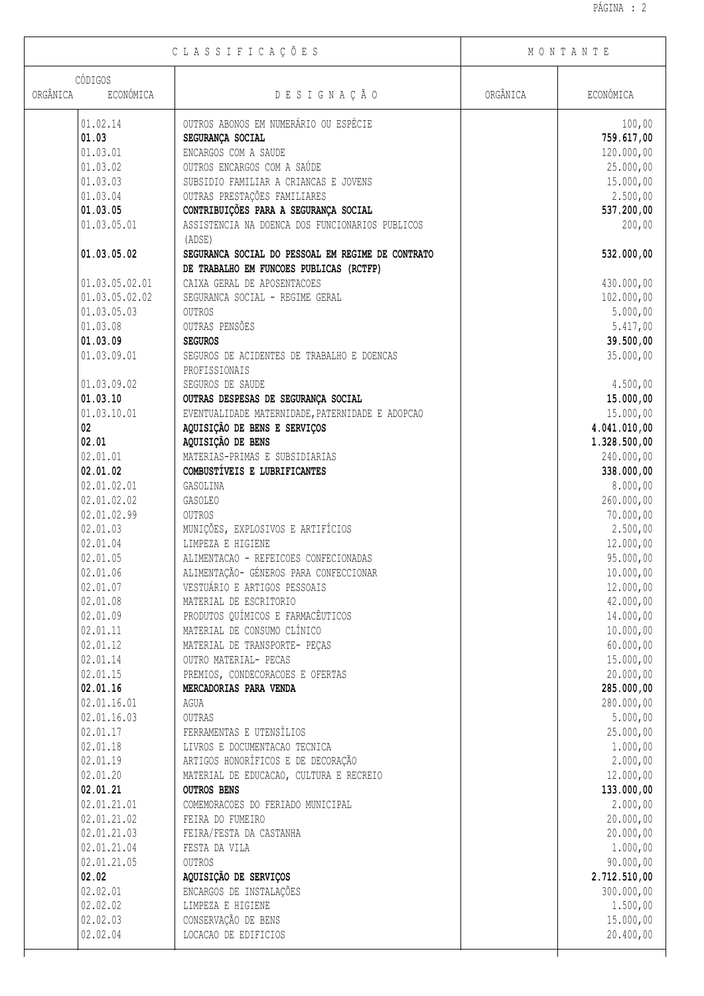| CLASSIFICAÇÕES                   |                                                                                              | MONTANTE |              |
|----------------------------------|----------------------------------------------------------------------------------------------|----------|--------------|
| CÓDIGOS<br>ORGÂNICA<br>ECONÓMICA | DESIGNAÇÃO                                                                                   | ORGÂNICA | ECONÓMICA    |
|                                  |                                                                                              |          |              |
| 01.02.14                         | OUTROS ABONOS EM NUMERÁRIO OU ESPÉCIE                                                        |          | 100,00       |
| 01.03                            | SEGURANÇA SOCIAL                                                                             |          | 759.617,00   |
| 01.03.01                         | ENCARGOS COM A SAUDE                                                                         |          | 120.000,00   |
| 01.03.02                         | OUTROS ENCARGOS COM A SAÚDE                                                                  |          | 25.000,00    |
| 01.03.03                         | SUBSIDIO FAMILIAR A CRIANCAS E JOVENS                                                        |          | 15.000,00    |
| 01.03.04                         | OUTRAS PRESTAÇÕES FAMILIARES                                                                 |          | 2.500,00     |
| 01.03.05                         | CONTRIBUIÇÕES PARA A SEGURANÇA SOCIAL                                                        |          | 537.200,00   |
| 01.03.05.01                      | ASSISTENCIA NA DOENCA DOS FUNCIONARIOS PUBLICOS<br>(ADSE)                                    |          | 200,00       |
| 01.03.05.02                      | SEGURANCA SOCIAL DO PESSOAL EM REGIME DE CONTRATO<br>DE TRABALHO EM FUNCOES PUBLICAS (RCTFP) |          | 532.000,00   |
| 01.03.05.02.01                   | CAIXA GERAL DE APOSENTACOES                                                                  |          | 430.000,00   |
| 01.03.05.02.02                   | SEGURANCA SOCIAL - REGIME GERAL                                                              |          | 102.000,00   |
| 01.03.05.03                      | OUTROS                                                                                       |          | 5.000,00     |
| 01.03.08                         | OUTRAS PENSÕES                                                                               |          | 5.417,00     |
| 01.03.09                         | <b>SEGUROS</b>                                                                               |          | 39.500,00    |
|                                  |                                                                                              |          |              |
| 01.03.09.01                      | SEGUROS DE ACIDENTES DE TRABALHO E DOENCAS<br>PROFISSIONAIS                                  |          | 35.000,00    |
| 01.03.09.02                      | SEGUROS DE SAUDE                                                                             |          | 4.500,00     |
| 01.03.10                         | OUTRAS DESPESAS DE SEGURANÇA SOCIAL                                                          |          | 15.000,00    |
| 01.03.10.01                      | EVENTUALIDADE MATERNIDADE, PATERNIDADE E ADOPCAO                                             |          | 15.000,00    |
| 02                               | AQUISIÇÃO DE BENS E SERVIÇOS                                                                 |          | 4.041.010,00 |
| 02.01                            | AQUISIÇÃO DE BENS                                                                            |          | 1.328.500,00 |
| 02.01.01                         | MATERIAS-PRIMAS E SUBSIDIARIAS                                                               |          | 240.000,00   |
| 02.01.02                         | COMBUSTIVEIS E LUBRIFICANTES                                                                 |          | 338.000,00   |
| 02.01.02.01                      | GASOLINA                                                                                     |          | 8.000,00     |
| 02.01.02.02                      | <b>GASOLEO</b>                                                                               |          | 260.000,00   |
| 02.01.02.99                      | <b>OUTROS</b>                                                                                |          | 70.000,00    |
| 02.01.03                         | MUNIÇÕES, EXPLOSIVOS E ARTIFÍCIOS                                                            |          | 2.500,00     |
| 02.01.04                         | LIMPEZA E HIGIENE                                                                            |          | 12.000,00    |
| 02.01.05                         | ALIMENTACAO - REFEICOES CONFECIONADAS                                                        |          | 95.000,00    |
| 02.01.06                         | ALIMENTAÇÃO- GÉNEROS PARA CONFECCIONAR                                                       |          | 10.000,00    |
|                                  |                                                                                              |          |              |
| 02.01.07                         | VESTUÁRIO E ARTIGOS PESSOAIS                                                                 |          | 12.000,00    |
| 02.01.08                         | MATERIAL DE ESCRITORIO                                                                       |          | 42.000,00    |
| 02.01.09                         | PRODUTOS QUÍMICOS E FARMACÊUTICOS                                                            |          | 14.000,00    |
| 02.01.11                         | MATERIAL DE CONSUMO CLÍNICO                                                                  |          | 10.000,00    |
| 02.01.12                         | MATERIAL DE TRANSPORTE- PEÇAS                                                                |          | 60.000,00    |
| 02.01.14                         | OUTRO MATERIAL- PECAS                                                                        |          | 15.000,00    |
| 02.01.15                         | PREMIOS, CONDECORACOES E OFERTAS                                                             |          | 20.000,00    |
| 02.01.16                         | MERCADORIAS PARA VENDA                                                                       |          | 285.000,00   |
| 02.01.16.01                      | AGUA                                                                                         |          | 280.000,00   |
| 02.01.16.03                      | OUTRAS                                                                                       |          | 5.000,00     |
| 02.01.17                         | FERRAMENTAS E UTENSÍLIOS                                                                     |          | 25.000,00    |
| 02.01.18                         | LIVROS E DOCUMENTACAO TECNICA                                                                |          | 1.000,00     |
| 02.01.19                         | ARTIGOS HONORÍFICOS E DE DECORAÇÃO                                                           |          | 2.000,00     |
| 02.01.20                         | MATERIAL DE EDUCACAO, CULTURA E RECREIO                                                      |          | 12.000,00    |
| 02.01.21                         | <b>OUTROS BENS</b>                                                                           |          | 133.000,00   |
| 02.01.21.01                      | COMEMORACOES DO FERIADO MUNICIPAL                                                            |          | 2.000,00     |
| 02.01.21.02                      | FEIRA DO FUMEIRO                                                                             |          | 20.000,00    |
| 02.01.21.03                      | FEIRA/FESTA DA CASTANHA                                                                      |          | 20.000,00    |
| 02.01.21.04                      | FESTA DA VILA                                                                                |          | 1.000,00     |
|                                  |                                                                                              |          |              |
| 02.01.21.05                      | OUTROS                                                                                       |          | 90.000,00    |
| 02.02                            | AQUISIÇÃO DE SERVIÇOS                                                                        |          | 2.712.510,00 |
| 02.02.01                         | ENCARGOS DE INSTALAÇÕES                                                                      |          | 300.000,00   |
| 02.02.02                         | LIMPEZA E HIGIENE                                                                            |          | 1.500,00     |
| 02.02.03                         | CONSERVAÇÃO DE BENS                                                                          |          | 15.000,00    |
| 02.02.04                         | LOCACAO DE EDIFICIOS                                                                         |          | 20.400,00    |

 $\sqrt{ }$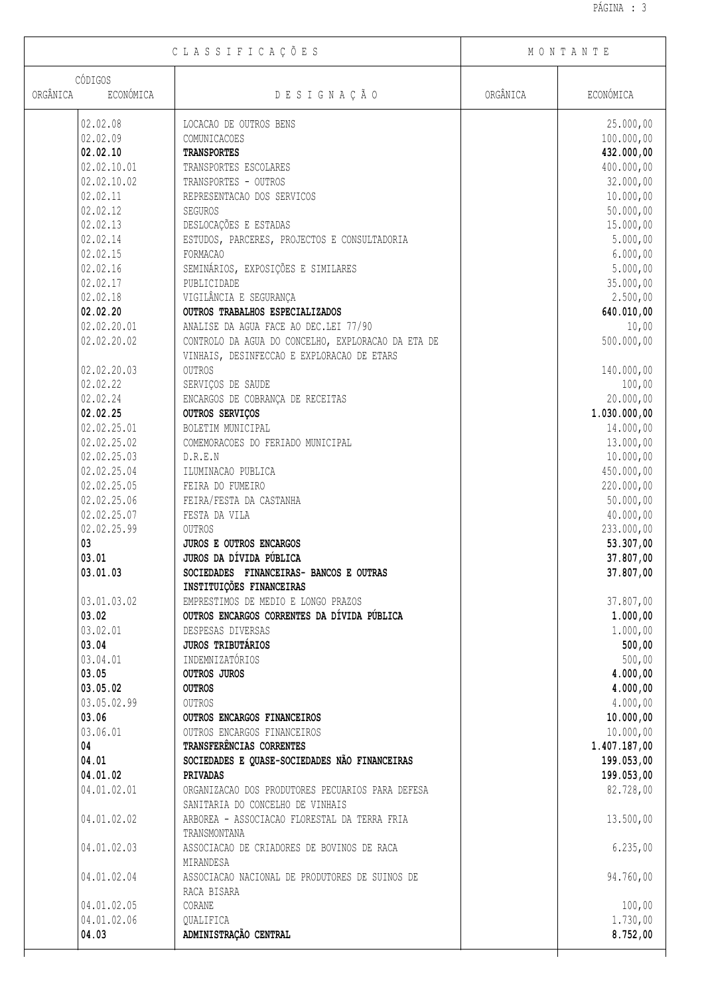Τ

| CLASSIFICAÇÕES        |                                                    | MONTANTE |              |
|-----------------------|----------------------------------------------------|----------|--------------|
| CÓDIGOS               |                                                    |          |              |
| ORGÂNICA<br>ECONÓMICA | DESIGNAÇÃO                                         | ORGÂNICA | ECONÓMICA    |
| 02.02.08              | LOCACAO DE OUTROS BENS                             |          | 25.000,00    |
| 02.02.09              | COMUNICACOES                                       |          | 100.000,00   |
| 02.02.10              | <b>TRANSPORTES</b>                                 |          | 432.000,00   |
| 02.02.10.01           | TRANSPORTES ESCOLARES                              |          | 400.000,00   |
| 02.02.10.02           | TRANSPORTES - OUTROS                               |          | 32.000,00    |
| 02.02.11              | REPRESENTACAO DOS SERVICOS                         |          | 10.000,00    |
| 02.02.12              | SEGUROS                                            |          | 50.000,00    |
| 02.02.13              | DESLOCAÇÕES E ESTADAS                              |          | 15.000,00    |
| 02.02.14              | ESTUDOS, PARCERES, PROJECTOS E CONSULTADORIA       |          | 5.000,00     |
| 02.02.15              | <b>FORMACAO</b>                                    |          | 6.000,00     |
| 02.02.16              | SEMINÁRIOS, EXPOSIÇÕES E SIMILARES                 |          | 5.000,00     |
| 02.02.17              | PUBLICIDADE                                        |          | 35.000,00    |
| 02.02.18              | VIGILÂNCIA E SEGURANÇA                             |          | 2.500,00     |
| 02.02.20              | OUTROS TRABALHOS ESPECIALIZADOS                    |          | 640.010,00   |
| 02.02.20.01           | ANALISE DA AGUA FACE AO DEC.LEI 77/90              |          | 10,00        |
| 02.02.20.02           | CONTROLO DA AGUA DO CONCELHO, EXPLORACAO DA ETA DE |          | 500.000,00   |
|                       | VINHAIS, DESINFECCAO E EXPLORACAO DE ETARS         |          |              |
| 02.02.20.03           | <b>OUTROS</b>                                      |          | 140.000,00   |
| 02.02.22              | SERVIÇOS DE SAUDE                                  |          | 100,00       |
| 02.02.24              | ENCARGOS DE COBRANÇA DE RECEITAS                   |          | 20.000,00    |
| 02.02.25              | OUTROS SERVIÇOS                                    |          | 1.030.000,00 |
| 02.02.25.01           | BOLETIM MUNICIPAL                                  |          | 14.000,00    |
| 02.02.25.02           | COMEMORACOES DO FERIADO MUNICIPAL                  |          | 13.000,00    |
| 02.02.25.03           | D.R.E.N                                            |          | 10.000,00    |
| 02.02.25.04           | ILUMINACAO PUBLICA                                 |          | 450.000,00   |
| 02.02.25.05           | FEIRA DO FUMEIRO                                   |          | 220.000,00   |
| 02.02.25.06           | FEIRA/FESTA DA CASTANHA                            |          | 50.000,00    |
| 02.02.25.07           | FESTA DA VILA                                      |          | 40.000,00    |
| 02.02.25.99           | OUTROS                                             |          | 233.000,00   |
| 03                    | JUROS E OUTROS ENCARGOS                            |          | 53.307,00    |
| 03.01                 | JUROS DA DÍVIDA PÚBLICA                            |          | 37.807,00    |
| 03.01.03              | SOCIEDADES FINANCEIRAS- BANCOS E OUTRAS            |          | 37.807,00    |
|                       | INSTITUIÇÕES FINANCEIRAS                           |          |              |
| 03.01.03.02           | EMPRESTIMOS DE MEDIO E LONGO PRAZOS                |          | 37.807,00    |
| 03.02                 | OUTROS ENCARGOS CORRENTES DA DÍVIDA PÚBLICA        |          | 1.000,00     |
| 03.02.01              | DESPESAS DIVERSAS                                  |          | 1.000,00     |
| 03.04                 | <b>JUROS TRIBUTÁRIOS</b>                           |          | 500,00       |
| 03.04.01              | INDEMNIZATÓRIOS                                    |          | 500,00       |
| 03.05                 | OUTROS JUROS                                       |          | 4.000,00     |
| 03.05.02              | <b>OUTROS</b>                                      |          | 4.000,00     |
| 03.05.02.99           | <b>OUTROS</b>                                      |          | 4.000,00     |
| 03.06                 | OUTROS ENCARGOS FINANCEIROS                        |          | 10.000,00    |
| 03.06.01              | OUTROS ENCARGOS FINANCEIROS                        |          | 10.000,00    |
| 04                    | TRANSFERÊNCIAS CORRENTES                           |          | 1.407.187,00 |
| 04.01                 | SOCIEDADES E QUASE-SOCIEDADES NÃO FINANCEIRAS      |          | 199.053,00   |
| 04.01.02              | PRIVADAS                                           |          | 199.053,00   |
| 04.01.02.01           | ORGANIZACAO DOS PRODUTORES PECUARIOS PARA DEFESA   |          | 82.728,00    |
|                       | SANITARIA DO CONCELHO DE VINHAIS                   |          |              |
| 04.01.02.02           | ARBOREA - ASSOCIACAO FLORESTAL DA TERRA FRIA       |          | 13.500,00    |
|                       | TRANSMONTANA                                       |          |              |
| 04.01.02.03           | ASSOCIACAO DE CRIADORES DE BOVINOS DE RACA         |          | 6.235,00     |
|                       | MIRANDESA                                          |          |              |
| 04.01.02.04           | ASSOCIACAO NACIONAL DE PRODUTORES DE SUINOS DE     |          | 94.760,00    |
|                       | RACA BISARA                                        |          |              |
| 04.01.02.05           | CORANE                                             |          | 100,00       |
| 04.01.02.06           | QUALIFICA                                          |          | 1.730,00     |
| 04.03                 | ADMINISTRAÇÃO CENTRAL                              |          | 8.752,00     |
|                       |                                                    |          |              |

 $\sqrt{2}$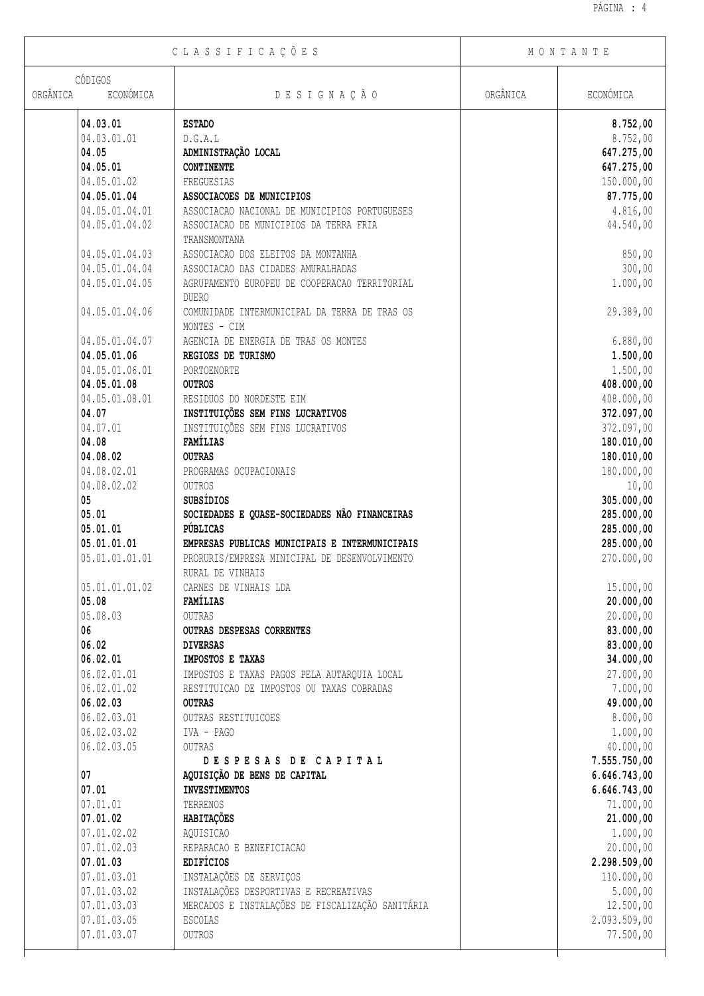Τ

| CLASSIFICAÇÕES                   |                                                  | MONTANTE |                          |
|----------------------------------|--------------------------------------------------|----------|--------------------------|
| CÓDIGOS<br>ORGÂNICA<br>ECONÓMICA | DESIGNAÇÃO                                       | ORGÂNICA | ECONÓMICA                |
|                                  |                                                  |          |                          |
| 04.03.01                         | <b>ESTADO</b>                                    |          | 8.752,00                 |
| 04.03.01.01                      | D.G.A.L                                          |          | 8.752,00                 |
| 04.05                            | ADMINISTRAÇÃO LOCAL                              |          | 647.275,00               |
| 04.05.01                         | <b>CONTINENTE</b>                                |          | 647.275,00               |
| 04.05.01.02                      | FREGUESIAS                                       |          | 150.000,00               |
| 04.05.01.04                      | ASSOCIACOES DE MUNICIPIOS                        |          | 87.775,00                |
| 04.05.01.04.01                   | ASSOCIACAO NACIONAL DE MUNICIPIOS PORTUGUESES    |          | 4.816,00                 |
| 04.05.01.04.02                   | ASSOCIACAO DE MUNICIPIOS DA TERRA FRIA           |          | 44.540,00                |
|                                  | TRANSMONTANA                                     |          |                          |
| 04.05.01.04.03                   | ASSOCIACAO DOS ELEITOS DA MONTANHA               |          | 850,00                   |
| 04.05.01.04.04                   | ASSOCIACAO DAS CIDADES AMURALHADAS               |          | 300,00                   |
| 04.05.01.04.05                   | AGRUPAMENTO EUROPEU DE COOPERACAO TERRITORIAL    |          | 1.000,00                 |
|                                  | <b>DUERO</b>                                     |          |                          |
| 04.05.01.04.06                   | COMUNIDADE INTERMUNICIPAL DA TERRA DE TRAS OS    |          | 29.389,00                |
|                                  | MONTES - CIM                                     |          |                          |
| 04.05.01.04.07                   | AGENCIA DE ENERGIA DE TRAS OS MONTES             |          | 6.880,00                 |
| 04.05.01.06                      | REGIOES DE TURISMO                               |          | 1.500,00                 |
| 04.05.01.06.01                   | PORTOENORTE                                      |          | 1.500,00                 |
| 04.05.01.08                      | <b>OUTROS</b>                                    |          | 408.000,00               |
| 04.05.01.08.01                   | RESIDUOS DO NORDESTE EIM                         |          | 408.000,00               |
| 04.07                            | INSTITUIÇÕES SEM FINS LUCRATIVOS                 |          | 372.097,00               |
| 04.07.01                         | INSTITUIÇÕES SEM FINS LUCRATIVOS                 |          | 372.097,00               |
| 04.08                            | FAMÍLIAS                                         |          | 180.010,00               |
| 04.08.02                         | <b>OUTRAS</b>                                    |          | 180.010,00               |
| 04.08.02.01                      | PROGRAMAS OCUPACIONAIS                           |          | 180.000,00               |
| 04.08.02.02<br>05                | <b>OUTROS</b><br>SUBSÍDIOS                       |          | 10,00                    |
| 05.01                            | SOCIEDADES E QUASE-SOCIEDADES NÃO FINANCEIRAS    |          | 305.000,00<br>285.000,00 |
| 05.01.01                         | PÚBLICAS                                         |          | 285.000,00               |
| 05.01.01.01                      | EMPRESAS PUBLICAS MUNICIPAIS E INTERMUNICIPAIS   |          | 285.000,00               |
| 05.01.01.01.01                   | PRORURIS/EMPRESA MINICIPAL DE DESENVOLVIMENTO    |          | 270.000,00               |
|                                  | RURAL DE VINHAIS                                 |          |                          |
| 05.01.01.01.02                   | CARNES DE VINHAIS LDA                            |          | 15.000,00                |
| 05.08                            | FAMÍLIAS                                         |          | 20.000,00                |
| 05.08.03                         | OUTRAS                                           |          | 20.000,00                |
| 06                               | OUTRAS DESPESAS CORRENTES                        |          | 83.000,00                |
| 06.02                            | <b>DIVERSAS</b>                                  |          | 83.000,00                |
| 06.02.01                         | IMPOSTOS E TAXAS                                 |          | 34.000,00                |
| 06.02.01.01                      | IMPOSTOS E TAXAS PAGOS PELA AUTARQUIA LOCAL      |          | 27.000,00                |
| 06.02.01.02                      | RESTITUICAO DE IMPOSTOS OU TAXAS COBRADAS        |          | 7.000,00                 |
| 06.02.03                         | <b>OUTRAS</b>                                    |          | 49.000,00                |
| 06.02.03.01                      | OUTRAS RESTITUICOES                              |          | 8.000,00                 |
| 06.02.03.02                      | IVA - PAGO                                       |          | 1.000,00                 |
| 06.02.03.05                      | OUTRAS                                           |          | 40.000,00                |
|                                  | DESPESAS DE CAPITAL                              |          | 7.555.750,00             |
| 07                               | AQUISIÇÃO DE BENS DE CAPITAL                     |          | 6.646.743,00             |
| 07.01                            | <b>INVESTIMENTOS</b>                             |          | 6.646.743,00             |
| 07.01.01                         | TERRENOS                                         |          | 71.000,00                |
| 07.01.02                         | HABITAÇÕES                                       |          | 21.000,00                |
| 07.01.02.02                      | AQUISICAO                                        |          | 1.000,00                 |
| 07.01.02.03                      | REPARACAO E BENEFICIACAO                         |          | 20.000,00                |
| 07.01.03                         | EDIFÍCIOS                                        |          | 2.298.509,00             |
| 07.01.03.01                      | INSTALAÇÕES DE SERVIÇOS                          |          | 110.000,00               |
| 07.01.03.02                      | INSTALAÇÕES DESPORTIVAS E RECREATIVAS            |          | 5.000,00                 |
| 07.01.03.03                      | MERCADOS E INSTALAÇÕES DE FISCALIZAÇÃO SANITÁRIA |          | 12.500,00                |
| 07.01.03.05                      | <b>ESCOLAS</b>                                   |          | 2.093.509,00             |
| 07.01.03.07                      | OUTROS                                           |          | 77.500,00                |
|                                  |                                                  |          |                          |

 $\sqrt{ }$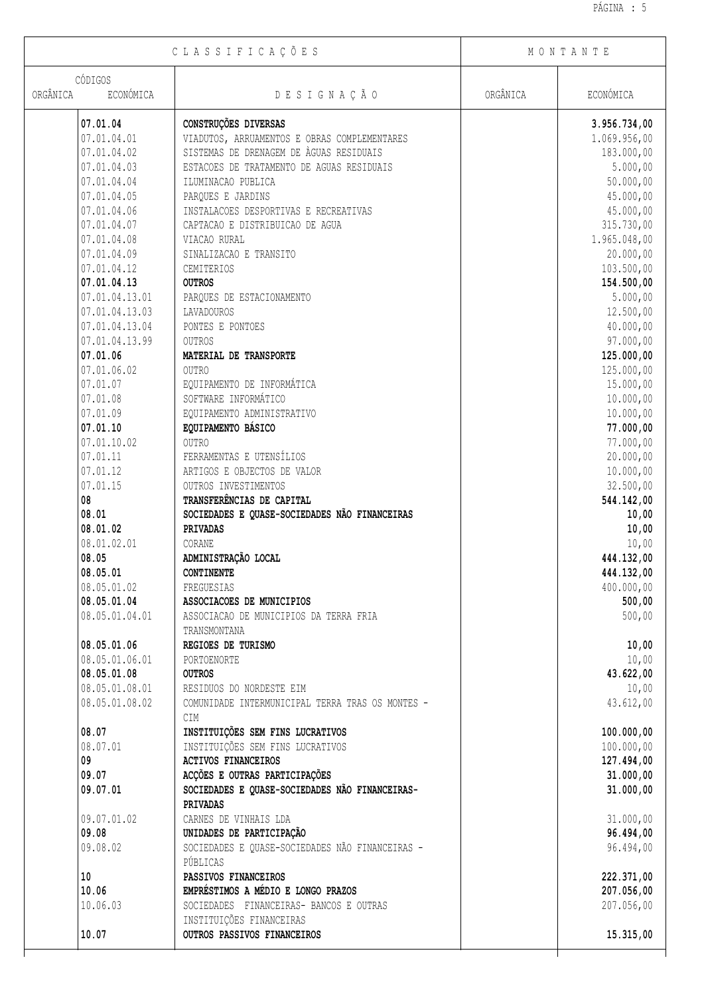| CLASSIFICAÇÕES                   |                                                             | MONTANTE |              |
|----------------------------------|-------------------------------------------------------------|----------|--------------|
| CÓDIGOS<br>ORGÂNICA<br>ECONÓMICA | DESIGNAÇÃO                                                  | ORGÂNICA | ECONÓMICA    |
|                                  |                                                             |          |              |
| 07.01.04                         | CONSTRUÇÕES DIVERSAS                                        |          | 3.956.734,00 |
| 07.01.04.01                      | VIADUTOS, ARRUAMENTOS E OBRAS COMPLEMENTARES                |          | 1.069.956,00 |
| 07.01.04.02                      | SISTEMAS DE DRENAGEM DE ÀGUAS RESIDUAIS                     |          | 183.000,00   |
| 07.01.04.03                      | ESTACOES DE TRATAMENTO DE AGUAS RESIDUAIS                   |          | 5.000,00     |
| 07.01.04.04                      | ILUMINACAO PUBLICA                                          |          | 50.000,00    |
| 07.01.04.05                      | PARQUES E JARDINS                                           |          | 45.000,00    |
| 07.01.04.06                      | INSTALACOES DESPORTIVAS E RECREATIVAS                       |          | 45.000,00    |
| 07.01.04.07                      | CAPTACAO E DISTRIBUICAO DE AGUA                             |          | 315.730,00   |
| 07.01.04.08                      | VIACAO RURAL                                                |          | 1.965.048,00 |
| 07.01.04.09                      | SINALIZACAO E TRANSITO                                      |          | 20.000,00    |
| 07.01.04.12                      | CEMITERIOS                                                  |          | 103.500,00   |
| 07.01.04.13                      | <b>OUTROS</b>                                               |          | 154.500,00   |
| 07.01.04.13.01                   | PARQUES DE ESTACIONAMENTO                                   |          | 5.000,00     |
| 07.01.04.13.03                   | LAVADOUROS                                                  |          | 12.500,00    |
| 07.01.04.13.04                   | PONTES E PONTOES                                            |          | 40.000,00    |
| 07.01.04.13.99                   | OUTROS                                                      |          | 97.000,00    |
| 07.01.06                         | MATERIAL DE TRANSPORTE                                      |          | 125.000,00   |
| 07.01.06.02                      | OUTRO                                                       |          | 125.000,00   |
| 07.01.07                         | EQUIPAMENTO DE INFORMÁTICA                                  |          | 15.000,00    |
| 07.01.08                         | SOFTWARE INFORMÁTICO                                        |          | 10.000,00    |
| 07.01.09                         | EQUIPAMENTO ADMINISTRATIVO                                  |          | 10.000,00    |
| 07.01.10                         | EQUIPAMENTO BÁSICO                                          |          | 77.000,00    |
| 07.01.10.02                      | OUTRO                                                       |          | 77.000,00    |
| 07.01.11                         | FERRAMENTAS E UTENSÍLIOS                                    |          | 20.000,00    |
| 07.01.12                         | ARTIGOS E OBJECTOS DE VALOR                                 |          | 10.000,00    |
| 07.01.15                         | OUTROS INVESTIMENTOS                                        |          | 32.500,00    |
| 08                               | TRANSFERÊNCIAS DE CAPITAL                                   |          | 544.142,00   |
| 08.01                            | SOCIEDADES E QUASE-SOCIEDADES NÃO FINANCEIRAS               |          | 10,00        |
| 08.01.02                         | PRIVADAS                                                    |          | 10,00        |
| 08.01.02.01                      | CORANE                                                      |          | 10,00        |
| 08.05                            | ADMINISTRAÇÃO LOCAL                                         |          | 444.132,00   |
| 08.05.01                         | <b>CONTINENTE</b>                                           |          | 444.132,00   |
|                                  |                                                             |          |              |
| 08.05.01.02<br>08.05.01.04       | FREGUESIAS                                                  |          | 400.000,00   |
|                                  | ASSOCIACOES DE MUNICIPIOS                                   |          | 500,00       |
| 08.05.01.04.01                   | ASSOCIACAO DE MUNICIPIOS DA TERRA FRIA                      |          | 500,00       |
|                                  | TRANSMONTANA                                                |          |              |
| 08.05.01.06                      | REGIOES DE TURISMO                                          |          | 10,00        |
| 08.05.01.06.01                   | PORTOENORTE                                                 |          | 10,00        |
| 08.05.01.08                      | <b>OUTROS</b>                                               |          | 43.622,00    |
| 08.05.01.08.01                   | RESIDUOS DO NORDESTE EIM                                    |          | 10,00        |
| 08.05.01.08.02                   | COMUNIDADE INTERMUNICIPAL TERRA TRAS OS MONTES -            |          | 43.612,00    |
|                                  | CIM                                                         |          |              |
| 08.07                            | INSTITUIÇÕES SEM FINS LUCRATIVOS                            |          | 100.000,00   |
| 08.07.01                         | INSTITUIÇÕES SEM FINS LUCRATIVOS                            |          | 100.000,00   |
| 09                               | <b>ACTIVOS FINANCEIROS</b>                                  |          | 127.494,00   |
| 09.07                            | ACÇÕES E OUTRAS PARTICIPAÇÕES                               |          | 31.000,00    |
| 09.07.01                         | SOCIEDADES E QUASE-SOCIEDADES NÃO FINANCEIRAS-<br>PRIVADAS  |          | 31.000,00    |
| 09.07.01.02                      | CARNES DE VINHAIS LDA                                       |          | 31.000,00    |
| 09.08                            | UNIDADES DE PARTICIPAÇÃO                                    |          | 96.494,00    |
| 09.08.02                         | SOCIEDADES E QUASE-SOCIEDADES NÃO FINANCEIRAS -<br>PÚBLICAS |          | 96.494,00    |
| 10                               | PASSIVOS FINANCEIROS                                        |          | 222.371,00   |
| 10.06                            | EMPRÉSTIMOS A MÉDIO E LONGO PRAZOS                          |          | 207.056,00   |
| 10.06.03                         | SOCIEDADES FINANCEIRAS- BANCOS E OUTRAS                     |          | 207.056,00   |
|                                  | INSTITUIÇÕES FINANCEIRAS                                    |          |              |
| 10.07                            | OUTROS PASSIVOS FINANCEIROS                                 |          | 15.315,00    |